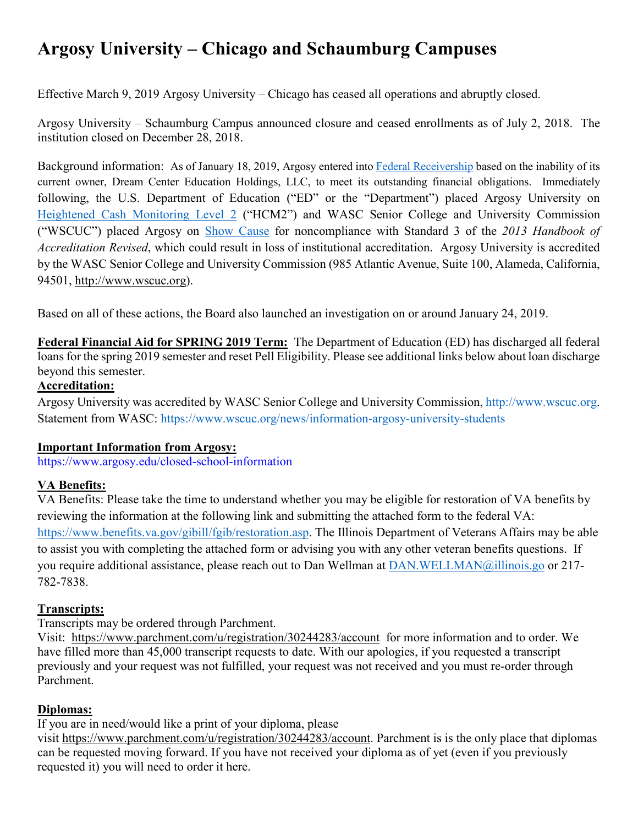# **Argosy University – Chicago and Schaumburg Campuses**

Effective March 9, 2019 Argosy University – Chicago has ceased all operations and abruptly closed.

Argosy University – Schaumburg Campus announced closure and ceased enrollments as of July 2, 2018. The institution closed on December 28, 2018.

Background information: As of January 18, 2019, Argosy entered into [Federal Receivership](https://www.dottoreco.com/dream-center-education-holdings) based on the inability of its current owner, Dream Center Education Holdings, LLC, to meet its outstanding financial obligations. Immediately following, the U.S. Department of Education ("ED" or the "Department") placed Argosy University on [Heightened Cash Monitoring Level 2](https://studentaid.ed.gov/sa/about/data-center/school/hcm) ("HCM2") and WASC Senior College and University Commission ("WSCUC") placed Argosy on [Show Cause](https://www.wscuc.org/institutions/argosy-university) for noncompliance with Standard 3 of the *2013 Handbook of Accreditation Revised*, which could result in loss of institutional accreditation. Argosy University is accredited by the WASC Senior College and University Commission (985 Atlantic Avenue, Suite 100, Alameda, California, 94501, [http://www.wscuc.org\)](http://www.wscuc.org/).

Based on all of these actions, the Board also launched an investigation on or around January 24, 2019.

**Federal Financial Aid for SPRING 2019 Term:** The Department of Education (ED) has discharged all federal loans for the spring 2019 semester and reset Pell Eligibility. Please see additional links below about loan discharge beyond this semester.

## **Accreditation:**

Argosy University was accredited by WASC Senior College and University Commission, [http://www.wscuc.org.](http://www.wscuc.org/) Statement from WASC:<https://www.wscuc.org/news/information-argosy-university-students>

### **Important Information from Argosy:**

<https://www.argosy.edu/closed-school-information>

## **VA Benefits:**

VA Benefits: Please take the time to understand whether you may be eligible for restoration of VA benefits by reviewing the information at the following link and submitting the attached form to the federal VA: [https://www.benefits.va.gov/gibill/fgib/restoration.asp.](https://urldefense.proofpoint.com/v2/url?u=https-3A__www.benefits.va.gov_gibill_fgib_restoration.asp&d=DwQFAg&c=euGZstcaTDllvimEN8b7jXrwqOf-v5A_CdpgnVfiiMM&r=YYHpZNuBYhCUqBCqhRMwCQ&m=_0x5m6lkVZNEWGp2hqQogDb2O03ceFVm5z5bqIJ_IoU&s=CzXK_ty4tW-jK3kLnntjIJuJUeIM5idUEEmP2nFWZRM&e=) The Illinois Department of Veterans Affairs may be able to assist you with completing the attached form or advising you with any other veteran benefits questions. If you require additional assistance, please reach out to Dan Wellman at [DAN.WELLMAN@illinois.go](mailto:DAN.WELLMAN@illinois.go) or 217- 782-7838.

## **Transcripts:**

Transcripts may be ordered through Parchment.

Visit: <https://www.parchment.com/u/registration/30244283/account>for more information and to order. We have filled more than 45,000 transcript requests to date. With our apologies, if you requested a transcript previously and your request was not fulfilled, your request was not received and you must re-order through Parchment.

## **Diplomas:**

If you are in need/would like a print of your diploma, please

visit [https://www.parchment.com/u/registration/30244283/account.](https://www.parchment.com/u/registration/30244283/account) Parchment is is the only place that diplomas can be requested moving forward. If you have not received your diploma as of yet (even if you previously requested it) you will need to order it here.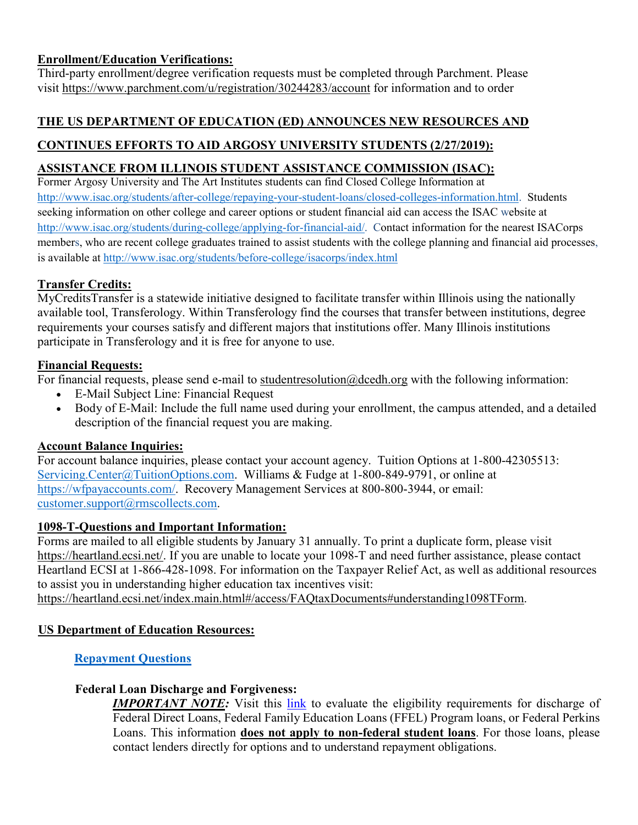## **Enrollment/Education Verifications:**

Third-party enrollment/degree verification requests must be completed through Parchment. Please visit <https://www.parchment.com/u/registration/30244283/account> for information and to order

# **THE US DEPARTMENT OF EDUCATION (ED) ANNOUNCES NEW RESOURCES AND**

# **CONTINUES EFFORTS TO AID ARGOSY UNIVERSITY STUDENTS (2/27/2019):**

# **ASSISTANCE FROM ILLINOIS STUDENT ASSISTANCE COMMISSION (ISAC):**

Former Argosy University and The Art Institutes students can find Closed College Information at [http://www.isac.org/students/after-college/repaying-your-student-loans/closed-colleges-information.html.](http://www.isac.org/students/after-college/repaying-your-student-loans/closed-colleges-information.html) Students seeking information on other college and career options or student financial aid can access the ISAC website at [http://www.isac.org/students/during-college/applying-for-financial-aid/.](http://www.isac.org/students/during-college/applying-for-financial-aid/) Contact information for the nearest ISACorps members, who are recent college graduates trained to assist students with the college planning and financial aid processes, is available at<http://www.isac.org/students/before-college/isacorps/index.html>

## **Transfer Credits:**

MyCreditsTransfer is a statewide initiative designed to facilitate transfer within Illinois using the nationally available tool, Transferology. Within Transferology find the courses that transfer between institutions, degree requirements your courses satisfy and different majors that institutions offer. Many Illinois institutions participate in Transferology and it is free for anyone to use.

### **Financial Requests:**

For financial requests, please send e-mail to student resolution@dcedh.org with the following information:

- E-Mail Subject Line: Financial Request
- Body of E-Mail: Include the full name used during your enrollment, the campus attended, and a detailed description of the financial request you are making.

## **Account Balance Inquiries:**

For account balance inquiries, please contact your account agency. Tuition Options at 1-800-42305513: [Servicing.Center@TuitionOptions.com.](mailto:Servicing.Center@TuitionOptions.com) Williams & Fudge at 1-800-849-9791, or online at [https://wfpayaccounts.com/.](https://wfpayaccounts.com/) Recovery Management Services at 800-800-3944, or email: [customer.support@rmscollects.com.](mailto:customer.support@rmscollects.com)

### **1098-T-Questions and Important Information:**

Forms are mailed to all eligible students by January 31 annually. To print a duplicate form, please visit [https://heartland.ecsi.net/.](https://heartland.ecsi.net/) If you are unable to locate your 1098-T and need further assistance, please contact Heartland ECSI at 1-866-428-1098. For information on the Taxpayer Relief Act, as well as additional resources to assist you in understanding higher education tax incentives visit:

[https://heartland.ecsi.net/index.main.html#/access/FAQtaxDocuments#understanding1098TForm.](https://heartland.ecsi.net/index.main.html#/access/FAQtaxDocuments#understanding1098TForm)

## **US Department of Education Resources:**

### **[Repayment Questions](https://studentaid.ed.gov/sa/repay-loans)**

### **Federal Loan Discharge and Forgiveness:**

**IMPORTANT NOTE:** Visit this [link](https://studentaid.ed.gov/sa/repay-loans/forgiveness-cancellation?src=ft) to evaluate the eligibility requirements for discharge of Federal Direct Loans, Federal Family Education Loans (FFEL) Program loans, or Federal Perkins Loans. This information **does not apply to non-federal student loans**. For those loans, please contact lenders directly for options and to understand repayment obligations.